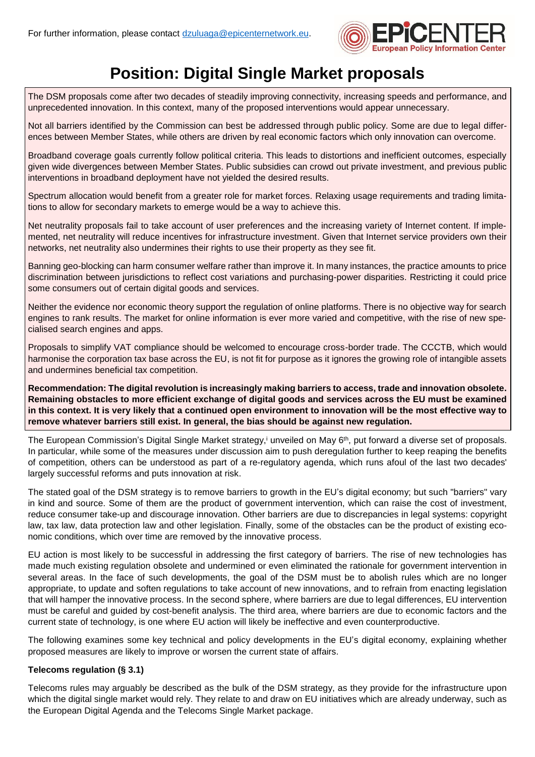

# **Position: Digital Single Market proposals**

The DSM proposals come after two decades of steadily improving connectivity, increasing speeds and performance, and unprecedented innovation. In this context, many of the proposed interventions would appear unnecessary.

Not all barriers identified by the Commission can best be addressed through public policy. Some are due to legal differences between Member States, while others are driven by real economic factors which only innovation can overcome.

Broadband coverage goals currently follow political criteria. This leads to distortions and inefficient outcomes, especially given wide divergences between Member States. Public subsidies can crowd out private investment, and previous public interventions in broadband deployment have not yielded the desired results.

Spectrum allocation would benefit from a greater role for market forces. Relaxing usage requirements and trading limitations to allow for secondary markets to emerge would be a way to achieve this.

Net neutrality proposals fail to take account of user preferences and the increasing variety of Internet content. If implemented, net neutrality will reduce incentives for infrastructure investment. Given that Internet service providers own their networks, net neutrality also undermines their rights to use their property as they see fit.

Banning geo-blocking can harm consumer welfare rather than improve it. In many instances, the practice amounts to price discrimination between jurisdictions to reflect cost variations and purchasing-power disparities. Restricting it could price some consumers out of certain digital goods and services.

Neither the evidence nor economic theory support the regulation of online platforms. There is no objective way for search engines to rank results. The market for online information is ever more varied and competitive, with the rise of new specialised search engines and apps.

Proposals to simplify VAT compliance should be welcomed to encourage cross-border trade. The CCCTB, which would harmonise the corporation tax base across the EU, is not fit for purpose as it ignores the growing role of intangible assets and undermines beneficial tax competition.

**Recommendation: The digital revolution is increasingly making barriers to access, trade and innovation obsolete.** Remaining obstacles to more efficient exchange of digital goods and services across the EU must be examined in this context. It is very likely that a continued open environment to innovation will be the most effective way to **remove whatever barriers still exist. In general, the bias should be against new regulation.**

The European Commission's Digital Single Market strategy, $^{\rm i}$  unveiled on May 6th, put forward a diverse set of proposals. In particular, while some of the measures under discussion aim to push deregulation further to keep reaping the benefits of competition, others can be understood as part of a re-regulatory agenda, which runs afoul of the last two decades' largely successful reforms and puts innovation at risk.

The stated goal of the DSM strategy is to remove barriers to growth in the EU's digital economy; but such "barriers" vary in kind and source. Some of them are the product of government intervention, which can raise the cost of investment, reduce consumer take-up and discourage innovation. Other barriers are due to discrepancies in legal systems: copyright law, tax law, data protection law and other legislation. Finally, some of the obstacles can be the product of existing economic conditions, which over time are removed by the innovative process.

EU action is most likely to be successful in addressing the first category of barriers. The rise of new technologies has made much existing regulation obsolete and undermined or even eliminated the rationale for government intervention in several areas. In the face of such developments, the goal of the DSM must be to abolish rules which are no longer appropriate, to update and soften regulations to take account of new innovations, and to refrain from enacting legislation that will hamper the innovative process. In the second sphere, where barriers are due to legal differences, EU intervention must be careful and guided by cost-benefit analysis. The third area, where barriers are due to economic factors and the current state of technology, is one where EU action will likely be ineffective and even counterproductive.

The following examines some key technical and policy developments in the EU's digital economy, explaining whether proposed measures are likely to improve or worsen the current state of affairs.

## **Telecoms regulation (§ 3.1)**

Telecoms rules may arguably be described as the bulk of the DSM strategy, as they provide for the infrastructure upon which the digital single market would rely. They relate to and draw on EU initiatives which are already underway, such as the European Digital Agenda and the Telecoms Single Market package.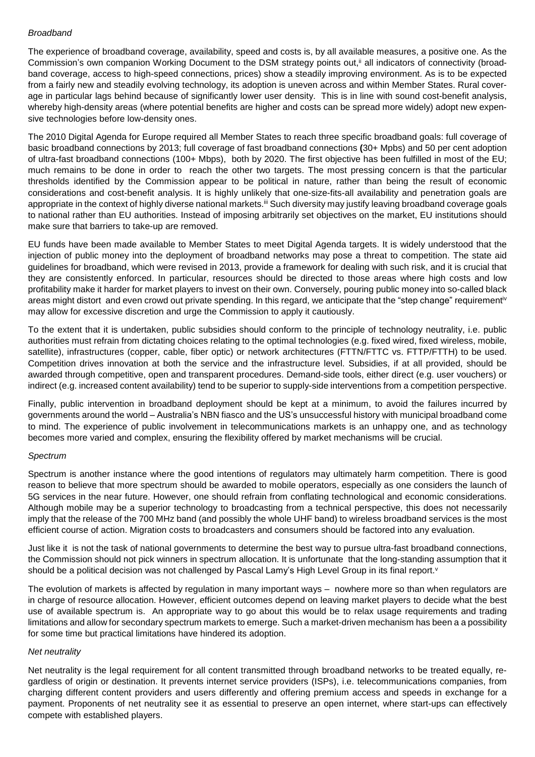### *Broadband*

The experience of broadband coverage, availability, speed and costs is, by all available measures, a positive one. As the Commission's own companion Working Document to the DSM strategy points out,<sup>ii</sup> all indicators of connectivity (broadband coverage, access to high-speed connections, prices) show a steadily improving environment. As is to be expected from a fairly new and steadily evolving technology, its adoption is uneven across and within Member States. Rural coverage in particular lags behind because of significantly lower user density. This is in line with sound cost-benefit analysis, whereby high-density areas (where potential benefits are higher and costs can be spread more widely) adopt new expensive technologies before low-density ones.

The 2010 Digital Agenda for Europe required all Member States to reach three specific broadband goals: full coverage of basic broadband connections by 2013; full coverage of fast broadband connections **(**30+ Mpbs) and 50 per cent adoption of ultra-fast broadband connections (100+ Mbps), both by 2020. The first objective has been fulfilled in most of the EU; much remains to be done in order to reach the other two targets. The most pressing concern is that the particular thresholds identified by the Commission appear to be political in nature, rather than being the result of economic considerations and cost-benefit analysis. It is highly unlikely that one-size-fits-all availability and penetration goals are appropriate in the context of highly diverse national markets.<sup>iii</sup> Such diversity may justify leaving broadband coverage goals to national rather than EU authorities. Instead of imposing arbitrarily set objectives on the market, EU institutions should make sure that barriers to take-up are removed.

EU funds have been made available to Member States to meet Digital Agenda targets. It is widely understood that the injection of public money into the deployment of broadband networks may pose a threat to competition. The state aid guidelines for broadband, which were revised in 2013, provide a framework for dealing with such risk, and it is crucial that they are consistently enforced. In particular, resources should be directed to those areas where high costs and low profitability make it harder for market players to invest on their own. Conversely, pouring public money into so-called black areas might distort and even crowd out private spending. In this regard, we anticipate that the "step change" requirementiv may allow for excessive discretion and urge the Commission to apply it cautiously.

To the extent that it is undertaken, public subsidies should conform to the principle of technology neutrality, i.e. public authorities must refrain from dictating choices relating to the optimal technologies (e.g. fixed wired, fixed wireless, mobile, satellite), infrastructures (copper, cable, fiber optic) or network architectures (FTTN/FTTC vs. FTTP/FTTH) to be used. Competition drives innovation at both the service and the infrastructure level. Subsidies, if at all provided, should be awarded through competitive, open and transparent procedures. Demand-side tools, either direct (e.g. user vouchers) or indirect (e.g. increased content availability) tend to be superior to supply-side interventions from a competition perspective.

Finally, public intervention in broadband deployment should be kept at a minimum, to avoid the failures incurred by governments around the world – Australia's NBN fiasco and the US's unsuccessful history with municipal broadband come to mind. The experience of public involvement in telecommunications markets is an unhappy one, and as technology becomes more varied and complex, ensuring the flexibility offered by market mechanisms will be crucial.

#### *Spectrum*

Spectrum is another instance where the good intentions of regulators may ultimately harm competition. There is good reason to believe that more spectrum should be awarded to mobile operators, especially as one considers the launch of 5G services in the near future. However, one should refrain from conflating technological and economic considerations. Although mobile may be a superior technology to broadcasting from a technical perspective, this does not necessarily imply that the release of the 700 MHz band (and possibly the whole UHF band) to wireless broadband services is the most efficient course of action. Migration costs to broadcasters and consumers should be factored into any evaluation.

Just like it is not the task of national governments to determine the best way to pursue ultra-fast broadband connections, the Commission should not pick winners in spectrum allocation. It is unfortunate that the long-standing assumption that it should be a political decision was not challenged by Pascal Lamy's High Level Group in its final report.<sup>v</sup>

The evolution of markets is affected by regulation in many important ways – nowhere more so than when regulators are in charge of resource allocation. However, efficient outcomes depend on leaving market players to decide what the best use of available spectrum is. An appropriate way to go about this would be to relax usage requirements and trading limitations and allow for secondary spectrum markets to emerge. Such a market-driven mechanism has been a a possibility for some time but practical limitations have hindered its adoption.

#### *Net neutrality*

Net neutrality is the legal requirement for all content transmitted through broadband networks to be treated equally, regardless of origin or destination. It prevents internet service providers (ISPs), i.e. telecommunications companies, from charging different content providers and users differently and offering premium access and speeds in exchange for a payment. Proponents of net neutrality see it as essential to preserve an open internet, where start-ups can effectively compete with established players.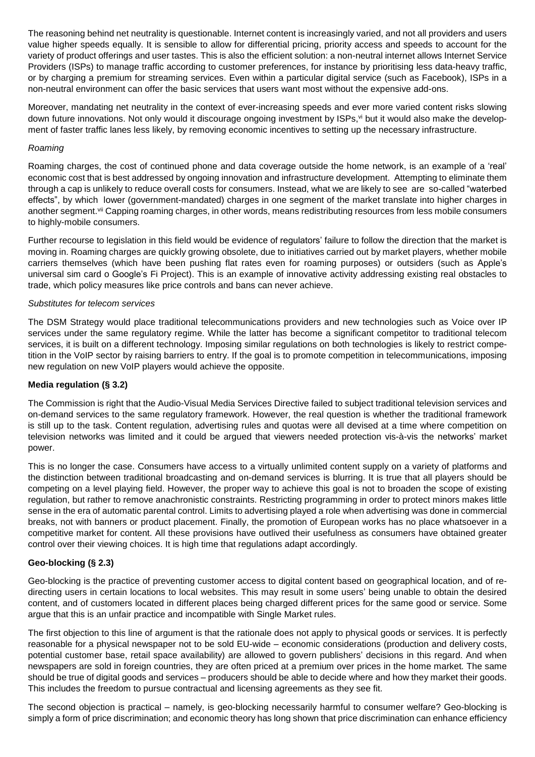The reasoning behind net neutrality is questionable. Internet content is increasingly varied, and not all providers and users value higher speeds equally. It is sensible to allow for differential pricing, priority access and speeds to account for the variety of product offerings and user tastes. This is also the efficient solution: a non-neutral internet allows Internet Service Providers (ISPs) to manage traffic according to customer preferences, for instance by prioritising less data-heavy traffic, or by charging a premium for streaming services. Even within a particular digital service (such as Facebook), ISPs in a non-neutral environment can offer the basic services that users want most without the expensive add-ons.

Moreover, mandating net neutrality in the context of ever-increasing speeds and ever more varied content risks slowing down future innovations. Not only would it discourage ongoing investment by ISPs,<sup>yi</sup> but it would also make the development of faster traffic lanes less likely, by removing economic incentives to setting up the necessary infrastructure.

#### *Roaming*

Roaming charges, the cost of continued phone and data coverage outside the home network, is an example of a 'real' economic cost that is best addressed by ongoing innovation and infrastructure development. Attempting to eliminate them through a cap is unlikely to reduce overall costs for consumers. Instead, what we are likely to see are so-called "waterbed effects", by which lower (government-mandated) charges in one segment of the market translate into higher charges in another segment.<sup>vii</sup> Capping roaming charges, in other words, means redistributing resources from less mobile consumers to highly-mobile consumers.

Further recourse to legislation in this field would be evidence of regulators' failure to follow the direction that the market is moving in. Roaming charges are quickly growing obsolete, due to initiatives carried out by market players, whether mobile carriers themselves (which have been pushing flat rates even for roaming purposes) or outsiders (such as Apple's universal sim card o Google's Fi Project). This is an example of innovative activity addressing existing real obstacles to trade, which policy measures like price controls and bans can never achieve.

#### *Substitutes for telecom services*

The DSM Strategy would place traditional telecommunications providers and new technologies such as Voice over IP services under the same regulatory regime. While the latter has become a significant competitor to traditional telecom services, it is built on a different technology. Imposing similar regulations on both technologies is likely to restrict competition in the VoIP sector by raising barriers to entry. If the goal is to promote competition in telecommunications, imposing new regulation on new VoIP players would achieve the opposite.

#### **Media regulation (§ 3.2)**

The Commission is right that the Audio-Visual Media Services Directive failed to subject traditional television services and on-demand services to the same regulatory framework. However, the real question is whether the traditional framework is still up to the task. Content regulation, advertising rules and quotas were all devised at a time where competition on television networks was limited and it could be argued that viewers needed protection vis-à-vis the networks' market power.

This is no longer the case. Consumers have access to a virtually unlimited content supply on a variety of platforms and the distinction between traditional broadcasting and on-demand services is blurring. It is true that all players should be competing on a level playing field. However, the proper way to achieve this goal is not to broaden the scope of existing regulation, but rather to remove anachronistic constraints. Restricting programming in order to protect minors makes little sense in the era of automatic parental control. Limits to advertising played a role when advertising was done in commercial breaks, not with banners or product placement. Finally, the promotion of European works has no place whatsoever in a competitive market for content. All these provisions have outlived their usefulness as consumers have obtained greater control over their viewing choices. It is high time that regulations adapt accordingly.

#### **Geo-blocking (§ 2.3)**

Geo-blocking is the practice of preventing customer access to digital content based on geographical location, and of redirecting users in certain locations to local websites. This may result in some users' being unable to obtain the desired content, and of customers located in different places being charged different prices for the same good or service. Some argue that this is an unfair practice and incompatible with Single Market rules.

The first objection to this line of argument is that the rationale does not apply to physical goods or services. It is perfectly reasonable for a physical newspaper not to be sold EU-wide – economic considerations (production and delivery costs, potential customer base, retail space availability) are allowed to govern publishers' decisions in this regard. And when newspapers are sold in foreign countries, they are often priced at a premium over prices in the home market. The same should be true of digital goods and services – producers should be able to decide where and how they market their goods. This includes the freedom to pursue contractual and licensing agreements as they see fit.

The second objection is practical – namely, is geo-blocking necessarily harmful to consumer welfare? Geo-blocking is simply a form of price discrimination; and economic theory has long shown that price discrimination can enhance efficiency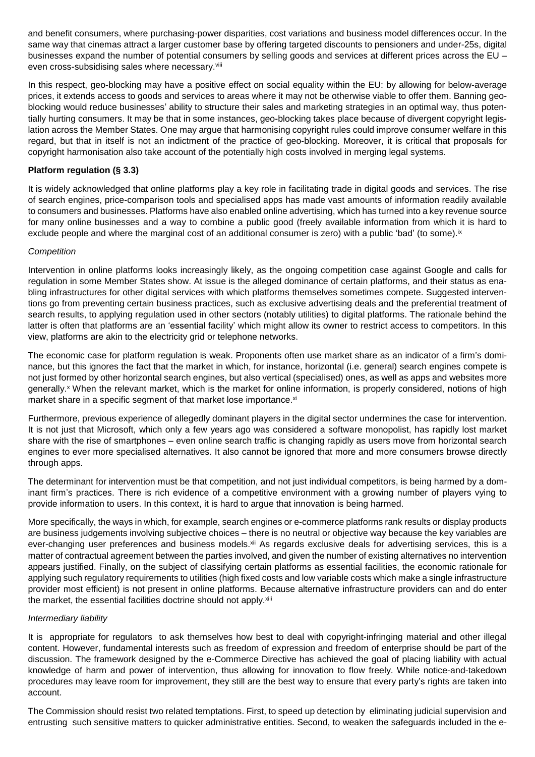and benefit consumers, where purchasing-power disparities, cost variations and business model differences occur. In the same way that cinemas attract a larger customer base by offering targeted discounts to pensioners and under-25s, digital businesses expand the number of potential consumers by selling goods and services at different prices across the EU – even cross-subsidising sales where necessary.<sup>viii</sup>

In this respect, geo-blocking may have a positive effect on social equality within the EU: by allowing for below-average prices, it extends access to goods and services to areas where it may not be otherwise viable to offer them. Banning geoblocking would reduce businesses' ability to structure their sales and marketing strategies in an optimal way, thus potentially hurting consumers. It may be that in some instances, geo-blocking takes place because of divergent copyright legislation across the Member States. One may argue that harmonising copyright rules could improve consumer welfare in this regard, but that in itself is not an indictment of the practice of geo-blocking. Moreover, it is critical that proposals for copyright harmonisation also take account of the potentially high costs involved in merging legal systems.

#### **Platform regulation (§ 3.3)**

It is widely acknowledged that online platforms play a key role in facilitating trade in digital goods and services. The rise of search engines, price-comparison tools and specialised apps has made vast amounts of information readily available to consumers and businesses. Platforms have also enabled online advertising, which has turned into a key revenue source for many online businesses and a way to combine a public good (freely available information from which it is hard to exclude people and where the marginal cost of an additional consumer is zero) with a public 'bad' (to some).<sup>ix</sup>

#### *Competition*

Intervention in online platforms looks increasingly likely, as the ongoing competition case against Google and calls for regulation in some Member States show. At issue is the alleged dominance of certain platforms, and their status as enabling infrastructures for other digital services with which platforms themselves sometimes compete. Suggested interventions go from preventing certain business practices, such as exclusive advertising deals and the preferential treatment of search results, to applying regulation used in other sectors (notably utilities) to digital platforms. The rationale behind the latter is often that platforms are an 'essential facility' which might allow its owner to restrict access to competitors. In this view, platforms are akin to the electricity grid or telephone networks.

The economic case for platform regulation is weak. Proponents often use market share as an indicator of a firm's dominance, but this ignores the fact that the market in which, for instance, horizontal (i.e. general) search engines compete is not just formed by other horizontal search engines, but also vertical (specialised) ones, as well as apps and websites more generally.<sup>x</sup> When the relevant market, which is the market for online information, is properly considered, notions of high market share in a specific segment of that market lose importance.<sup>xi</sup>

Furthermore, previous experience of allegedly dominant players in the digital sector undermines the case for intervention. It is not just that Microsoft, which only a few years ago was considered a software monopolist, has rapidly lost market share with the rise of smartphones – even online search traffic is changing rapidly as users move from horizontal search engines to ever more specialised alternatives. It also cannot be ignored that more and more consumers browse directly through apps.

The determinant for intervention must be that competition, and not just individual competitors, is being harmed by a dominant firm's practices. There is rich evidence of a competitive environment with a growing number of players vying to provide information to users. In this context, it is hard to argue that innovation is being harmed.

More specifically, the ways in which, for example, search engines or e-commerce platforms rank results or display products are business judgements involving subjective choices – there is no neutral or objective way because the key variables are ever-changing user preferences and business models.<sup>xii</sup> As regards exclusive deals for advertising services, this is a matter of contractual agreement between the parties involved, and given the number of existing alternatives no intervention appears justified. Finally, on the subject of classifying certain platforms as essential facilities, the economic rationale for applying such regulatory requirements to utilities (high fixed costs and low variable costs which make a single infrastructure provider most efficient) is not present in online platforms. Because alternative infrastructure providers can and do enter the market, the essential facilities doctrine should not apply.xiii

#### *Intermediary liability*

It is appropriate for regulators to ask themselves how best to deal with copyright-infringing material and other illegal content. However, fundamental interests such as freedom of expression and freedom of enterprise should be part of the discussion. The framework designed by the e-Commerce Directive has achieved the goal of placing liability with actual knowledge of harm and power of intervention, thus allowing for innovation to flow freely. While notice-and-takedown procedures may leave room for improvement, they still are the best way to ensure that every party's rights are taken into account.

The Commission should resist two related temptations. First, to speed up detection by eliminating judicial supervision and entrusting such sensitive matters to quicker administrative entities. Second, to weaken the safeguards included in the e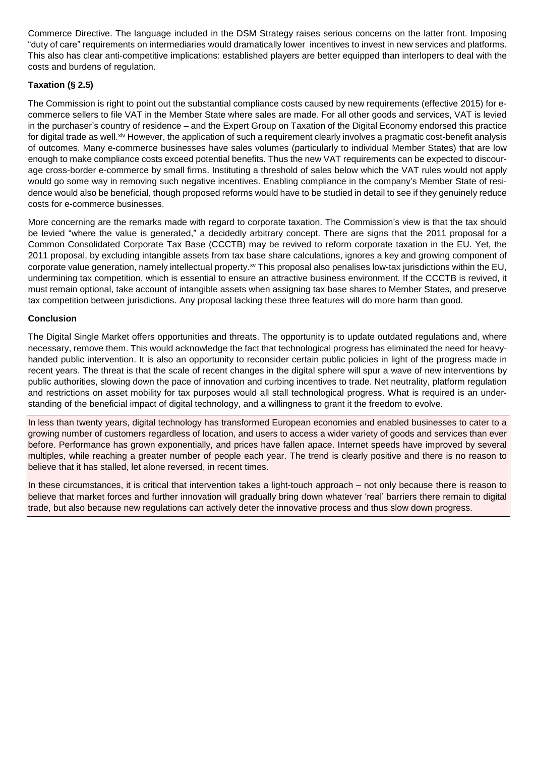Commerce Directive. The language included in the DSM Strategy raises serious concerns on the latter front. Imposing "duty of care" requirements on intermediaries would dramatically lower incentives to invest in new services and platforms. This also has clear anti-competitive implications: established players are better equipped than interlopers to deal with the costs and burdens of regulation.

# **Taxation (§ 2.5)**

The Commission is right to point out the substantial compliance costs caused by new requirements (effective 2015) for ecommerce sellers to file VAT in the Member State where sales are made. For all other goods and services, VAT is levied in the purchaser's country of residence – and the Expert Group on Taxation of the Digital Economy endorsed this practice for digital trade as well.<sup>xiv</sup> However, the application of such a requirement clearly involves a pragmatic cost-benefit analysis of outcomes. Many e-commerce businesses have sales volumes (particularly to individual Member States) that are low enough to make compliance costs exceed potential benefits. Thus the new VAT requirements can be expected to discourage cross-border e-commerce by small firms. Instituting a threshold of sales below which the VAT rules would not apply would go some way in removing such negative incentives. Enabling compliance in the company's Member State of residence would also be beneficial, though proposed reforms would have to be studied in detail to see if they genuinely reduce costs for e-commerce businesses.

More concerning are the remarks made with regard to corporate taxation. The Commission's view is that the tax should be levied "where the value is generated," a decidedly arbitrary concept. There are signs that the 2011 proposal for a Common Consolidated Corporate Tax Base (CCCTB) may be revived to reform corporate taxation in the EU. Yet, the 2011 proposal, by excluding intangible assets from tax base share calculations, ignores a key and growing component of corporate value generation, namely intellectual property. $\alpha$  This proposal also penalises low-tax jurisdictions within the EU, undermining tax competition, which is essential to ensure an attractive business environment. If the CCCTB is revived, it must remain optional, take account of intangible assets when assigning tax base shares to Member States, and preserve tax competition between jurisdictions. Any proposal lacking these three features will do more harm than good.

#### **Conclusion**

The Digital Single Market offers opportunities and threats. The opportunity is to update outdated regulations and, where necessary, remove them. This would acknowledge the fact that technological progress has eliminated the need for heavyhanded public intervention. It is also an opportunity to reconsider certain public policies in light of the progress made in recent years. The threat is that the scale of recent changes in the digital sphere will spur a wave of new interventions by public authorities, slowing down the pace of innovation and curbing incentives to trade. Net neutrality, platform regulation and restrictions on asset mobility for tax purposes would all stall technological progress. What is required is an understanding of the beneficial impact of digital technology, and a willingness to grant it the freedom to evolve.

In less than twenty years, digital technology has transformed European economies and enabled businesses to cater to a growing number of customers regardless of location, and users to access a wider variety of goods and services than ever before. Performance has grown exponentially, and prices have fallen apace. Internet speeds have improved by several multiples, while reaching a greater number of people each year. The trend is clearly positive and there is no reason to believe that it has stalled, let alone reversed, in recent times.

In these circumstances, it is critical that intervention takes a light-touch approach – not only because there is reason to believe that market forces and further innovation will gradually bring down whatever 'real' barriers there remain to digital trade, but also because new regulations can actively deter the innovative process and thus slow down progress.